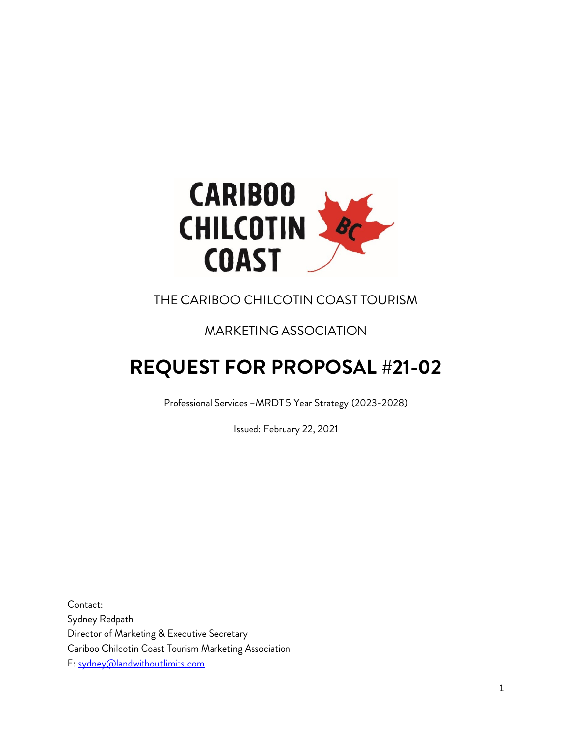

# THE CARIBOO CHILCOTIN COAST TOURISM

# MARKETING ASSOCIATION

# **REQUEST FOR PROPOSAL #21-02**

Professional Services –MRDT 5 Year Strategy (2023-2028)

Issued: February 22, 2021

Contact: Sydney Redpath Director of Marketing & Executive Secretary Cariboo Chilcotin Coast Tourism Marketing Association E: [sydney@landwithoutlimits.com](mailto:sydney@landwithoutlimits.com)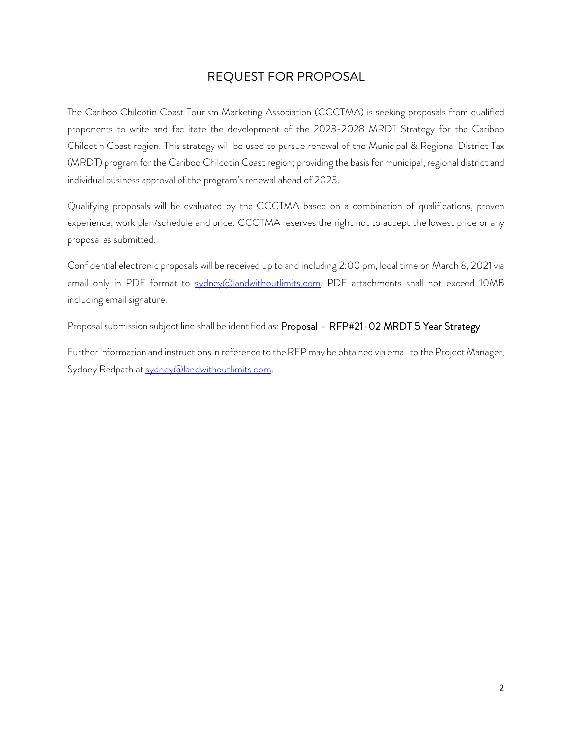## REQUEST FOR PROPOSAL

The Cariboo Chilcotin Coast Tourism Marketing Association (CCCTMA) is seeking proposals from qualified proponents to write and facilitate the development of the 2023-2028 MRDT Strategy for the Cariboo Chilcotin Coast region. This strategy will be used to pursue renewal of the Municipal & Regional District Tax (MRDT) program for the Cariboo Chilcotin Coast region; providing the basis for municipal, regional district and individual business approval of the program's renewal ahead of 2023.

Qualifying proposals will be evaluated by the CCCTMA based on a combination of qualifications, proven experience, work plan/schedule and price. CCCTMA reserves the right not to accept the lowest price or any proposal as submitted.

Confidential electronic proposals will be received up to and including 2:00 pm, local time on March 8, 2021 via email only in PDF format to [sydney@landwithoutlimits.com.](mailto:sydney@landwithoutlimits.com) PDF attachments shall not exceed 10MB including email signature.

Proposal submission subject line shall be identified as: Proposal - RFP#21-02 MRDT 5 Year Strategy

Further information and instructions in reference to the RFP may be obtained via email to the Project Manager, Sydney Redpath at [sydney@landwithoutlimits.com.](mailto:sydney@landwithoutlimits.com)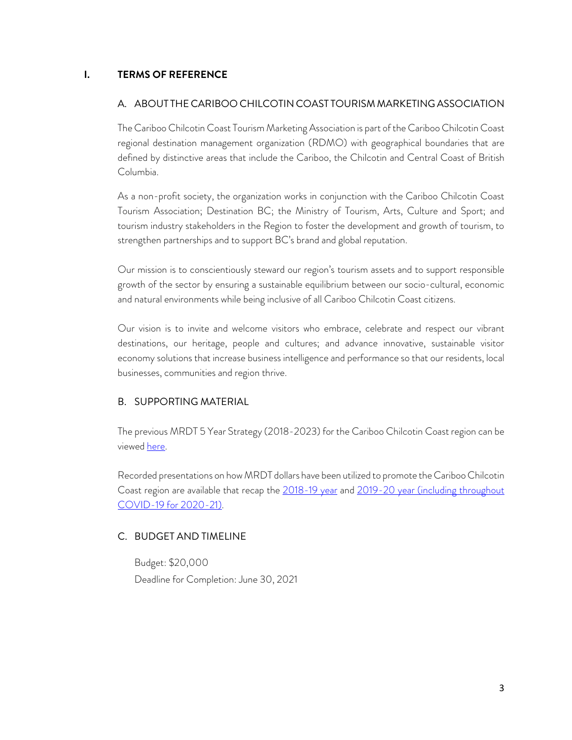#### **I. TERMS OF REFERENCE**

#### A. ABOUT THE CARIBOO CHILCOTIN COAST TOURISM MARKETING ASSOCIATION

The Cariboo Chilcotin Coast Tourism Marketing Association is part of the Cariboo Chilcotin Coast regional destination management organization (RDMO) with geographical boundaries that are defined by distinctive areas that include the Cariboo, the Chilcotin and Central Coast of British Columbia.

As a non-profit society, the organization works in conjunction with the Cariboo Chilcotin Coast Tourism Association; Destination BC; the Ministry of Tourism, Arts, Culture and Sport; and tourism industry stakeholders in the Region to foster the development and growth of tourism, to strengthen partnerships and to support BC's brand and global reputation.

Our mission is to conscientiously steward our region's tourism assets and to support responsible growth of the sector by ensuring a sustainable equilibrium between our socio-cultural, economic and natural environments while being inclusive of all Cariboo Chilcotin Coast citizens.

Our vision is to invite and welcome visitors who embrace, celebrate and respect our vibrant destinations, our heritage, people and cultures; and advance innovative, sustainable visitor economy solutions that increase business intelligence and performance so that our residents, local businesses, communities and region thrive.

#### B. SUPPORTING MATERIAL

The previous MRDT 5 Year Strategy (2018-2023) for the Cariboo Chilcotin Coast region can be viewed [here.](https://industry.landwithoutlimits.com/resources/uploads/2020/01/CCCTMA-MRDT-5-Year-Tourism-Plan-Approved-2018-22.pdf)

Recorded presentations on how MRDT dollars have been utilized to promote the Cariboo Chilcotin Coast region are available that recap the [2018-19 year](https://youtu.be/I-GbCndn22I) and 2019-20 year (including throughout [COVID-19 for 2020-21\).](https://youtu.be/1NJ3VxIRJA0)

#### C. BUDGET AND TIMELINE

Budget: \$20,000 Deadline for Completion: June 30, 2021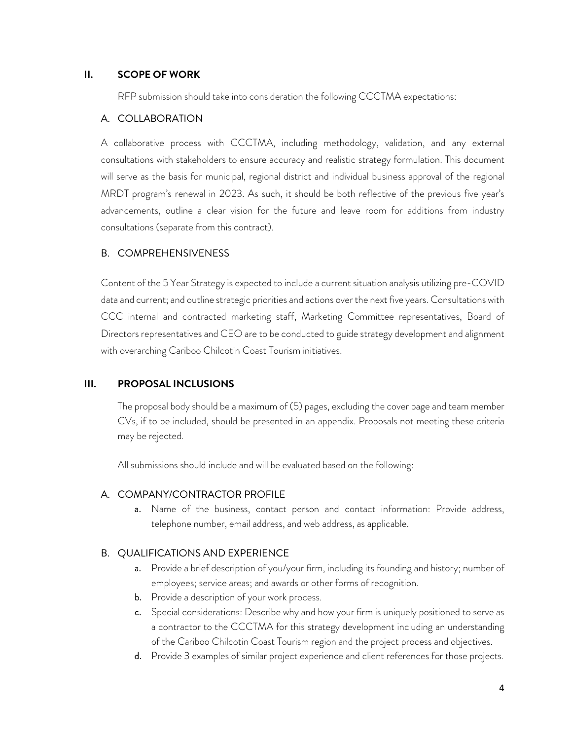#### **II. SCOPE OF WORK**

RFP submission should take into consideration the following CCCTMA expectations:

#### A. COLLABORATION

A collaborative process with CCCTMA, including methodology, validation, and any external consultations with stakeholders to ensure accuracy and realistic strategy formulation. This document will serve as the basis for municipal, regional district and individual business approval of the regional MRDT program's renewal in 2023. As such, it should be both reflective of the previous five year's advancements, outline a clear vision for the future and leave room for additions from industry consultations (separate from this contract).

#### B. COMPREHENSIVENESS

Content of the 5 Year Strategy is expected to include a current situation analysis utilizing pre-COVID data and current; and outline strategic priorities and actions over the next five years. Consultations with CCC internal and contracted marketing staff, Marketing Committee representatives, Board of Directors representatives and CEO are to be conducted to guide strategy development and alignment with overarching Cariboo Chilcotin Coast Tourism initiatives.

#### **III. PROPOSAL INCLUSIONS**

The proposal body should be a maximum of (5) pages, excluding the cover page and team member CVs, if to be included, should be presented in an appendix. Proposals not meeting these criteria may be rejected.

All submissions should include and will be evaluated based on the following:

#### A. COMPANY/CONTRACTOR PROFILE

a. Name of the business, contact person and contact information: Provide address, telephone number, email address, and web address, as applicable.

#### B. QUALIFICATIONS AND EXPERIENCE

- a. Provide a brief description of you/your firm, including its founding and history; number of employees; service areas; and awards or other forms of recognition.
- b. Provide a description of your work process.
- c. Special considerations: Describe why and how your firm is uniquely positioned to serve as a contractor to the CCCTMA for this strategy development including an understanding of the Cariboo Chilcotin Coast Tourism region and the project process and objectives.
- d. Provide 3 examples of similar project experience and client references for those projects.